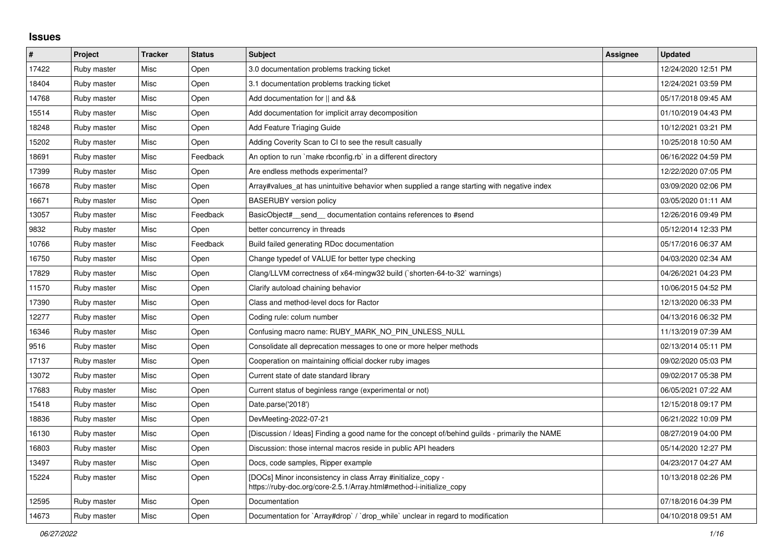## **Issues**

| $\pmb{\#}$ | Project     | <b>Tracker</b> | <b>Status</b> | <b>Subject</b>                                                                                                                      | Assignee | <b>Updated</b>      |
|------------|-------------|----------------|---------------|-------------------------------------------------------------------------------------------------------------------------------------|----------|---------------------|
| 17422      | Ruby master | Misc           | Open          | 3.0 documentation problems tracking ticket                                                                                          |          | 12/24/2020 12:51 PM |
| 18404      | Ruby master | Misc           | Open          | 3.1 documentation problems tracking ticket                                                                                          |          | 12/24/2021 03:59 PM |
| 14768      | Ruby master | Misc           | Open          | Add documentation for    and &&                                                                                                     |          | 05/17/2018 09:45 AM |
| 15514      | Ruby master | Misc           | Open          | Add documentation for implicit array decomposition                                                                                  |          | 01/10/2019 04:43 PM |
| 18248      | Ruby master | Misc           | Open          | <b>Add Feature Triaging Guide</b>                                                                                                   |          | 10/12/2021 03:21 PM |
| 15202      | Ruby master | Misc           | Open          | Adding Coverity Scan to CI to see the result casually                                                                               |          | 10/25/2018 10:50 AM |
| 18691      | Ruby master | Misc           | Feedback      | An option to run `make rbconfig.rb` in a different directory                                                                        |          | 06/16/2022 04:59 PM |
| 17399      | Ruby master | Misc           | Open          | Are endless methods experimental?                                                                                                   |          | 12/22/2020 07:05 PM |
| 16678      | Ruby master | Misc           | Open          | Array#values at has unintuitive behavior when supplied a range starting with negative index                                         |          | 03/09/2020 02:06 PM |
| 16671      | Ruby master | Misc           | Open          | <b>BASERUBY</b> version policy                                                                                                      |          | 03/05/2020 01:11 AM |
| 13057      | Ruby master | Misc           | Feedback      | BasicObject# send documentation contains references to #send                                                                        |          | 12/26/2016 09:49 PM |
| 9832       | Ruby master | Misc           | Open          | better concurrency in threads                                                                                                       |          | 05/12/2014 12:33 PM |
| 10766      | Ruby master | Misc           | Feedback      | Build failed generating RDoc documentation                                                                                          |          | 05/17/2016 06:37 AM |
| 16750      | Ruby master | Misc           | Open          | Change typedef of VALUE for better type checking                                                                                    |          | 04/03/2020 02:34 AM |
| 17829      | Ruby master | Misc           | Open          | Clang/LLVM correctness of x64-mingw32 build ('shorten-64-to-32' warnings)                                                           |          | 04/26/2021 04:23 PM |
| 11570      | Ruby master | Misc           | Open          | Clarify autoload chaining behavior                                                                                                  |          | 10/06/2015 04:52 PM |
| 17390      | Ruby master | Misc           | Open          | Class and method-level docs for Ractor                                                                                              |          | 12/13/2020 06:33 PM |
| 12277      | Ruby master | Misc           | Open          | Coding rule: colum number                                                                                                           |          | 04/13/2016 06:32 PM |
| 16346      | Ruby master | Misc           | Open          | Confusing macro name: RUBY MARK NO PIN UNLESS NULL                                                                                  |          | 11/13/2019 07:39 AM |
| 9516       | Ruby master | Misc           | Open          | Consolidate all deprecation messages to one or more helper methods                                                                  |          | 02/13/2014 05:11 PM |
| 17137      | Ruby master | Misc           | Open          | Cooperation on maintaining official docker ruby images                                                                              |          | 09/02/2020 05:03 PM |
| 13072      | Ruby master | Misc           | Open          | Current state of date standard library                                                                                              |          | 09/02/2017 05:38 PM |
| 17683      | Ruby master | Misc           | Open          | Current status of beginless range (experimental or not)                                                                             |          | 06/05/2021 07:22 AM |
| 15418      | Ruby master | Misc           | Open          | Date.parse('2018')                                                                                                                  |          | 12/15/2018 09:17 PM |
| 18836      | Ruby master | Misc           | Open          | DevMeeting-2022-07-21                                                                                                               |          | 06/21/2022 10:09 PM |
| 16130      | Ruby master | Misc           | Open          | [Discussion / Ideas] Finding a good name for the concept of/behind guilds - primarily the NAME                                      |          | 08/27/2019 04:00 PM |
| 16803      | Ruby master | Misc           | Open          | Discussion: those internal macros reside in public API headers                                                                      |          | 05/14/2020 12:27 PM |
| 13497      | Ruby master | Misc           | Open          | Docs, code samples, Ripper example                                                                                                  |          | 04/23/2017 04:27 AM |
| 15224      | Ruby master | Misc           | Open          | [DOCs] Minor inconsistency in class Array #initialize_copy -<br>https://ruby-doc.org/core-2.5.1/Array.html#method-i-initialize_copy |          | 10/13/2018 02:26 PM |
| 12595      | Ruby master | Misc           | Open          | Documentation                                                                                                                       |          | 07/18/2016 04:39 PM |
| 14673      | Ruby master | Misc           | Open          | Documentation for `Array#drop` / `drop while` unclear in regard to modification                                                     |          | 04/10/2018 09:51 AM |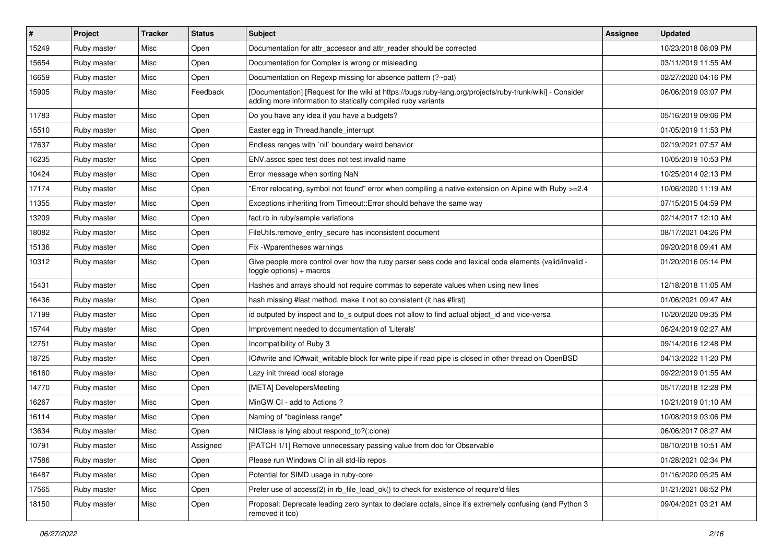| #     | Project     | <b>Tracker</b> | <b>Status</b> | <b>Subject</b>                                                                                                                                                           | <b>Assignee</b> | <b>Updated</b>      |
|-------|-------------|----------------|---------------|--------------------------------------------------------------------------------------------------------------------------------------------------------------------------|-----------------|---------------------|
| 15249 | Ruby master | Misc           | Open          | Documentation for attr accessor and attr reader should be corrected                                                                                                      |                 | 10/23/2018 08:09 PM |
| 15654 | Ruby master | Misc           | Open          | Documentation for Complex is wrong or misleading                                                                                                                         |                 | 03/11/2019 11:55 AM |
| 16659 | Ruby master | Misc           | Open          | Documentation on Regexp missing for absence pattern (?~pat)                                                                                                              |                 | 02/27/2020 04:16 PM |
| 15905 | Ruby master | Misc           | Feedback      | [Documentation] [Request for the wiki at https://bugs.ruby-lang.org/projects/ruby-trunk/wiki] - Consider<br>adding more information to statically compiled ruby variants |                 | 06/06/2019 03:07 PM |
| 11783 | Ruby master | Misc           | Open          | Do you have any idea if you have a budgets?                                                                                                                              |                 | 05/16/2019 09:06 PM |
| 15510 | Ruby master | Misc           | Open          | Easter egg in Thread.handle_interrupt                                                                                                                                    |                 | 01/05/2019 11:53 PM |
| 17637 | Ruby master | Misc           | Open          | Endless ranges with `nil` boundary weird behavior                                                                                                                        |                 | 02/19/2021 07:57 AM |
| 16235 | Ruby master | Misc           | Open          | ENV assoc spec test does not test invalid name                                                                                                                           |                 | 10/05/2019 10:53 PM |
| 10424 | Ruby master | Misc           | Open          | Error message when sorting NaN                                                                                                                                           |                 | 10/25/2014 02:13 PM |
| 17174 | Ruby master | Misc           | Open          | Error relocating, symbol not found" error when compiling a native extension on Alpine with Ruby >=2.4"                                                                   |                 | 10/06/2020 11:19 AM |
| 11355 | Ruby master | Misc           | Open          | Exceptions inheriting from Timeout:: Error should behave the same way                                                                                                    |                 | 07/15/2015 04:59 PM |
| 13209 | Ruby master | Misc           | Open          | fact.rb in ruby/sample variations                                                                                                                                        |                 | 02/14/2017 12:10 AM |
| 18082 | Ruby master | Misc           | Open          | FileUtils.remove_entry_secure has inconsistent document                                                                                                                  |                 | 08/17/2021 04:26 PM |
| 15136 | Ruby master | Misc           | Open          | Fix - Wparentheses warnings                                                                                                                                              |                 | 09/20/2018 09:41 AM |
| 10312 | Ruby master | Misc           | Open          | Give people more control over how the ruby parser sees code and lexical code elements (valid/invalid -<br>$to ggle$ options) + macros                                    |                 | 01/20/2016 05:14 PM |
| 15431 | Ruby master | Misc           | Open          | Hashes and arrays should not require commas to seperate values when using new lines                                                                                      |                 | 12/18/2018 11:05 AM |
| 16436 | Ruby master | Misc           | Open          | hash missing #last method, make it not so consistent (it has #first)                                                                                                     |                 | 01/06/2021 09:47 AM |
| 17199 | Ruby master | Misc           | Open          | id outputed by inspect and to s output does not allow to find actual object id and vice-versa                                                                            |                 | 10/20/2020 09:35 PM |
| 15744 | Ruby master | Misc           | Open          | Improvement needed to documentation of 'Literals'                                                                                                                        |                 | 06/24/2019 02:27 AM |
| 12751 | Ruby master | Misc           | Open          | Incompatibility of Ruby 3                                                                                                                                                |                 | 09/14/2016 12:48 PM |
| 18725 | Ruby master | Misc           | Open          | IO#write and IO#wait_writable block for write pipe if read pipe is closed in other thread on OpenBSD                                                                     |                 | 04/13/2022 11:20 PM |
| 16160 | Ruby master | Misc           | Open          | Lazy init thread local storage                                                                                                                                           |                 | 09/22/2019 01:55 AM |
| 14770 | Ruby master | Misc           | Open          | [META] DevelopersMeeting                                                                                                                                                 |                 | 05/17/2018 12:28 PM |
| 16267 | Ruby master | Misc           | Open          | MinGW CI - add to Actions ?                                                                                                                                              |                 | 10/21/2019 01:10 AM |
| 16114 | Ruby master | Misc           | Open          | Naming of "beginless range"                                                                                                                                              |                 | 10/08/2019 03:06 PM |
| 13634 | Ruby master | Misc           | Open          | NilClass is lying about respond_to?(:clone)                                                                                                                              |                 | 06/06/2017 08:27 AM |
| 10791 | Ruby master | Misc           | Assigned      | [PATCH 1/1] Remove unnecessary passing value from doc for Observable                                                                                                     |                 | 08/10/2018 10:51 AM |
| 17586 | Ruby master | Misc           | Open          | Please run Windows CI in all std-lib repos                                                                                                                               |                 | 01/28/2021 02:34 PM |
| 16487 | Ruby master | Misc           | Open          | Potential for SIMD usage in ruby-core                                                                                                                                    |                 | 01/16/2020 05:25 AM |
| 17565 | Ruby master | Misc           | Open          | Prefer use of access(2) in rb_file_load_ok() to check for existence of require'd files                                                                                   |                 | 01/21/2021 08:52 PM |
| 18150 | Ruby master | Misc           | Open          | Proposal: Deprecate leading zero syntax to declare octals, since it's extremely confusing (and Python 3<br>removed it too)                                               |                 | 09/04/2021 03:21 AM |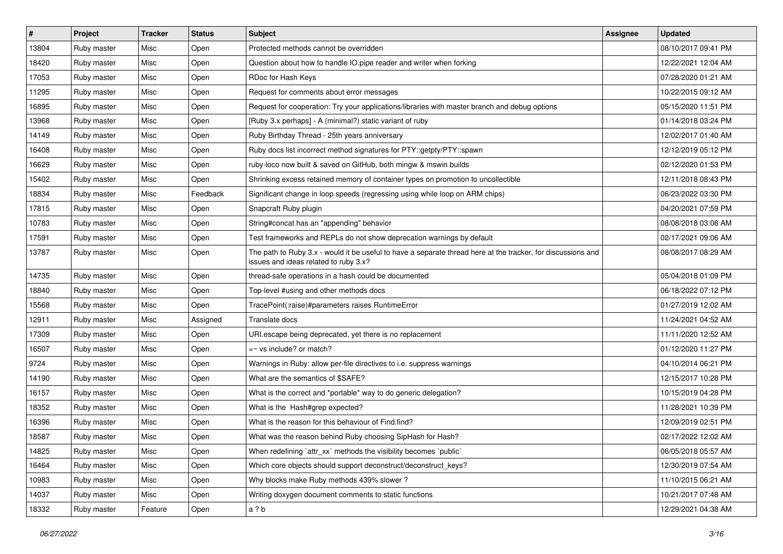| #     | Project     | <b>Tracker</b> | <b>Status</b> | <b>Subject</b>                                                                                                                                        | <b>Assignee</b> | <b>Updated</b>      |
|-------|-------------|----------------|---------------|-------------------------------------------------------------------------------------------------------------------------------------------------------|-----------------|---------------------|
| 13804 | Ruby master | Misc           | Open          | Protected methods cannot be overridden                                                                                                                |                 | 08/10/2017 09:41 PM |
| 18420 | Ruby master | Misc           | Open          | Question about how to handle IO.pipe reader and writer when forking                                                                                   |                 | 12/22/2021 12:04 AM |
| 17053 | Ruby master | Misc           | Open          | RDoc for Hash Keys                                                                                                                                    |                 | 07/28/2020 01:21 AM |
| 11295 | Ruby master | Misc           | Open          | Request for comments about error messages                                                                                                             |                 | 10/22/2015 09:12 AM |
| 16895 | Ruby master | Misc           | Open          | Request for cooperation: Try your applications/libraries with master branch and debug options                                                         |                 | 05/15/2020 11:51 PM |
| 13968 | Ruby master | Misc           | Open          | [Ruby 3.x perhaps] - A (minimal?) static variant of ruby                                                                                              |                 | 01/14/2018 03:24 PM |
| 14149 | Ruby master | Misc           | Open          | Ruby Birthday Thread - 25th years anniversary                                                                                                         |                 | 12/02/2017 01:40 AM |
| 16408 | Ruby master | Misc           | Open          | Ruby docs list incorrect method signatures for PTY::getpty/PTY::spawn                                                                                 |                 | 12/12/2019 05:12 PM |
| 16629 | Ruby master | Misc           | Open          | ruby-loco now built & saved on GitHub, both mingw & mswin builds                                                                                      |                 | 02/12/2020 01:53 PM |
| 15402 | Ruby master | Misc           | Open          | Shrinking excess retained memory of container types on promotion to uncollectible                                                                     |                 | 12/11/2018 08:43 PM |
| 18834 | Ruby master | Misc           | Feedback      | Significant change in loop speeds (regressing using while loop on ARM chips)                                                                          |                 | 06/23/2022 03:30 PM |
| 17815 | Ruby master | Misc           | Open          | Snapcraft Ruby plugin                                                                                                                                 |                 | 04/20/2021 07:59 PM |
| 10783 | Ruby master | Misc           | Open          | String#concat has an "appending" behavior                                                                                                             |                 | 08/08/2018 03:08 AM |
| 17591 | Ruby master | Misc           | Open          | Test frameworks and REPLs do not show deprecation warnings by default                                                                                 |                 | 02/17/2021 09:06 AM |
| 13787 | Ruby master | Misc           | Open          | The path to Ruby 3.x - would it be useful to have a separate thread here at the tracker, for discussions and<br>issues and ideas related to ruby 3.x? |                 | 08/08/2017 08:29 AM |
| 14735 | Ruby master | Misc           | Open          | thread-safe operations in a hash could be documented                                                                                                  |                 | 05/04/2018 01:09 PM |
| 18840 | Ruby master | Misc           | Open          | Top-level #using and other methods docs                                                                                                               |                 | 06/18/2022 07:12 PM |
| 15568 | Ruby master | Misc           | Open          | TracePoint(:raise)#parameters raises RuntimeError                                                                                                     |                 | 01/27/2019 12:02 AM |
| 12911 | Ruby master | Misc           | Assigned      | Translate docs                                                                                                                                        |                 | 11/24/2021 04:52 AM |
| 17309 | Ruby master | Misc           | Open          | URI escape being deprecated, yet there is no replacement                                                                                              |                 | 11/11/2020 12:52 AM |
| 16507 | Ruby master | Misc           | Open          | $=$ vs include? or match?                                                                                                                             |                 | 01/12/2020 11:27 PM |
| 9724  | Ruby master | Misc           | Open          | Warnings in Ruby: allow per-file directives to i.e. suppress warnings                                                                                 |                 | 04/10/2014 06:21 PM |
| 14190 | Ruby master | Misc           | Open          | What are the semantics of \$SAFE?                                                                                                                     |                 | 12/15/2017 10:28 PM |
| 16157 | Ruby master | Misc           | Open          | What is the correct and *portable* way to do generic delegation?                                                                                      |                 | 10/15/2019 04:28 PM |
| 18352 | Ruby master | Misc           | Open          | What is the Hash#grep expected?                                                                                                                       |                 | 11/28/2021 10:39 PM |
| 16396 | Ruby master | Misc           | Open          | What is the reason for this behaviour of Find.find?                                                                                                   |                 | 12/09/2019 02:51 PM |
| 18587 | Ruby master | Misc           | Open          | What was the reason behind Ruby choosing SipHash for Hash?                                                                                            |                 | 02/17/2022 12:02 AM |
| 14825 | Ruby master | Misc           | Open          | When redefining `attr_xx` methods the visibility becomes `public`                                                                                     |                 | 06/05/2018 05:57 AM |
| 16464 | Ruby master | Misc           | Open          | Which core objects should support deconstruct/deconstruct_keys?                                                                                       |                 | 12/30/2019 07:54 AM |
| 10983 | Ruby master | Misc           | Open          | Why blocks make Ruby methods 439% slower?                                                                                                             |                 | 11/10/2015 06:21 AM |
| 14037 | Ruby master | Misc           | Open          | Writing doxygen document comments to static functions                                                                                                 |                 | 10/21/2017 07:48 AM |
| 18332 | Ruby master | Feature        | Open          | a ? b                                                                                                                                                 |                 | 12/29/2021 04:38 AM |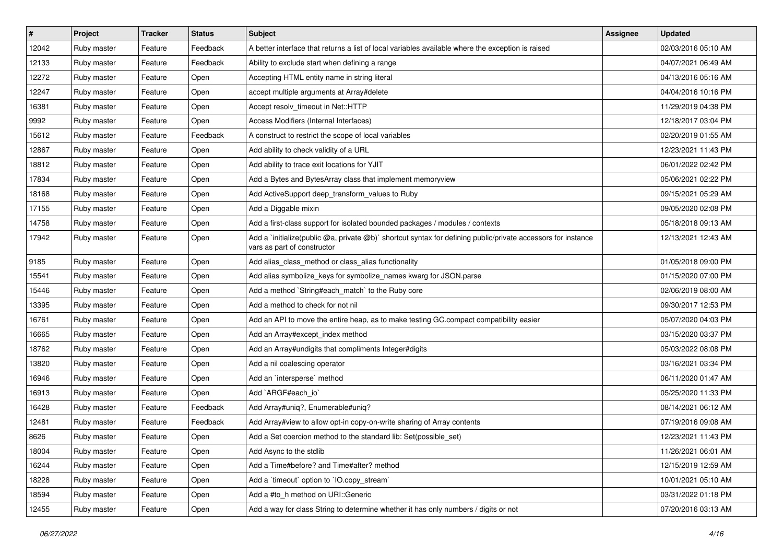| $\sharp$ | Project     | <b>Tracker</b> | <b>Status</b> | <b>Subject</b>                                                                                                                              | <b>Assignee</b> | <b>Updated</b>      |
|----------|-------------|----------------|---------------|---------------------------------------------------------------------------------------------------------------------------------------------|-----------------|---------------------|
| 12042    | Ruby master | Feature        | Feedback      | A better interface that returns a list of local variables available where the exception is raised                                           |                 | 02/03/2016 05:10 AM |
| 12133    | Ruby master | Feature        | Feedback      | Ability to exclude start when defining a range                                                                                              |                 | 04/07/2021 06:49 AM |
| 12272    | Ruby master | Feature        | Open          | Accepting HTML entity name in string literal                                                                                                |                 | 04/13/2016 05:16 AM |
| 12247    | Ruby master | Feature        | Open          | accept multiple arguments at Array#delete                                                                                                   |                 | 04/04/2016 10:16 PM |
| 16381    | Ruby master | Feature        | Open          | Accept resolv_timeout in Net::HTTP                                                                                                          |                 | 11/29/2019 04:38 PM |
| 9992     | Ruby master | Feature        | Open          | Access Modifiers (Internal Interfaces)                                                                                                      |                 | 12/18/2017 03:04 PM |
| 15612    | Ruby master | Feature        | Feedback      | A construct to restrict the scope of local variables                                                                                        |                 | 02/20/2019 01:55 AM |
| 12867    | Ruby master | Feature        | Open          | Add ability to check validity of a URL                                                                                                      |                 | 12/23/2021 11:43 PM |
| 18812    | Ruby master | Feature        | Open          | Add ability to trace exit locations for YJIT                                                                                                |                 | 06/01/2022 02:42 PM |
| 17834    | Ruby master | Feature        | Open          | Add a Bytes and BytesArray class that implement memoryview                                                                                  |                 | 05/06/2021 02:22 PM |
| 18168    | Ruby master | Feature        | Open          | Add ActiveSupport deep_transform_values to Ruby                                                                                             |                 | 09/15/2021 05:29 AM |
| 17155    | Ruby master | Feature        | Open          | Add a Diggable mixin                                                                                                                        |                 | 09/05/2020 02:08 PM |
| 14758    | Ruby master | Feature        | Open          | Add a first-class support for isolated bounded packages / modules / contexts                                                                |                 | 05/18/2018 09:13 AM |
| 17942    | Ruby master | Feature        | Open          | Add a `initialize(public @a, private @b)` shortcut syntax for defining public/private accessors for instance<br>vars as part of constructor |                 | 12/13/2021 12:43 AM |
| 9185     | Ruby master | Feature        | Open          | Add alias_class_method or class_alias functionality                                                                                         |                 | 01/05/2018 09:00 PM |
| 15541    | Ruby master | Feature        | Open          | Add alias symbolize_keys for symbolize_names kwarg for JSON.parse                                                                           |                 | 01/15/2020 07:00 PM |
| 15446    | Ruby master | Feature        | Open          | Add a method `String#each_match` to the Ruby core                                                                                           |                 | 02/06/2019 08:00 AM |
| 13395    | Ruby master | Feature        | Open          | Add a method to check for not nil                                                                                                           |                 | 09/30/2017 12:53 PM |
| 16761    | Ruby master | Feature        | Open          | Add an API to move the entire heap, as to make testing GC.compact compatibility easier                                                      |                 | 05/07/2020 04:03 PM |
| 16665    | Ruby master | Feature        | Open          | Add an Array#except_index method                                                                                                            |                 | 03/15/2020 03:37 PM |
| 18762    | Ruby master | Feature        | Open          | Add an Array#undigits that compliments Integer#digits                                                                                       |                 | 05/03/2022 08:08 PM |
| 13820    | Ruby master | Feature        | Open          | Add a nil coalescing operator                                                                                                               |                 | 03/16/2021 03:34 PM |
| 16946    | Ruby master | Feature        | Open          | Add an `intersperse` method                                                                                                                 |                 | 06/11/2020 01:47 AM |
| 16913    | Ruby master | Feature        | Open          | Add `ARGF#each io`                                                                                                                          |                 | 05/25/2020 11:33 PM |
| 16428    | Ruby master | Feature        | Feedback      | Add Array#uniq?, Enumerable#uniq?                                                                                                           |                 | 08/14/2021 06:12 AM |
| 12481    | Ruby master | Feature        | Feedback      | Add Array#view to allow opt-in copy-on-write sharing of Array contents                                                                      |                 | 07/19/2016 09:08 AM |
| 8626     | Ruby master | Feature        | Open          | Add a Set coercion method to the standard lib: Set (possible set)                                                                           |                 | 12/23/2021 11:43 PM |
| 18004    | Ruby master | Feature        | Open          | Add Async to the stdlib                                                                                                                     |                 | 11/26/2021 06:01 AM |
| 16244    | Ruby master | Feature        | Open          | Add a Time#before? and Time#after? method                                                                                                   |                 | 12/15/2019 12:59 AM |
| 18228    | Ruby master | Feature        | Open          | Add a 'timeout' option to 'IO.copy_stream'                                                                                                  |                 | 10/01/2021 05:10 AM |
| 18594    | Ruby master | Feature        | Open          | Add a #to_h method on URI::Generic                                                                                                          |                 | 03/31/2022 01:18 PM |
| 12455    | Ruby master | Feature        | Open          | Add a way for class String to determine whether it has only numbers / digits or not                                                         |                 | 07/20/2016 03:13 AM |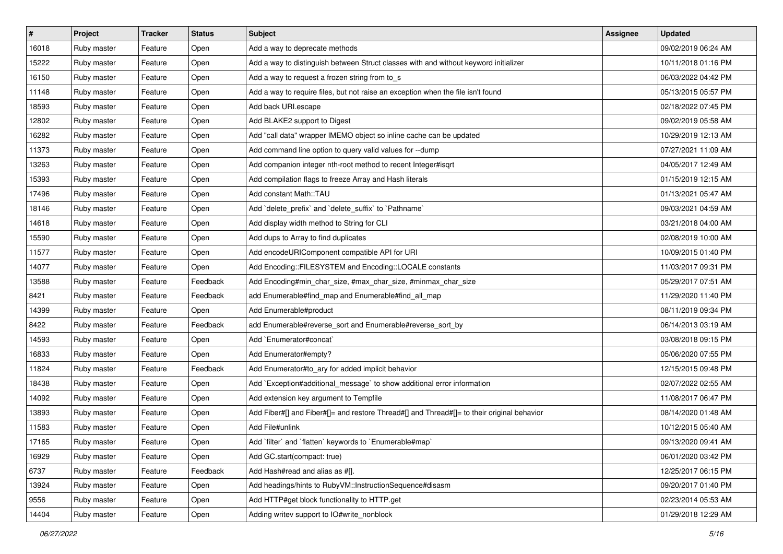| $\vert$ # | Project     | <b>Tracker</b> | <b>Status</b> | <b>Subject</b>                                                                             | <b>Assignee</b> | <b>Updated</b>      |
|-----------|-------------|----------------|---------------|--------------------------------------------------------------------------------------------|-----------------|---------------------|
| 16018     | Ruby master | Feature        | Open          | Add a way to deprecate methods                                                             |                 | 09/02/2019 06:24 AM |
| 15222     | Ruby master | Feature        | Open          | Add a way to distinguish between Struct classes with and without keyword initializer       |                 | 10/11/2018 01:16 PM |
| 16150     | Ruby master | Feature        | Open          | Add a way to request a frozen string from to s                                             |                 | 06/03/2022 04:42 PM |
| 11148     | Ruby master | Feature        | Open          | Add a way to require files, but not raise an exception when the file isn't found           |                 | 05/13/2015 05:57 PM |
| 18593     | Ruby master | Feature        | Open          | Add back URI.escape                                                                        |                 | 02/18/2022 07:45 PM |
| 12802     | Ruby master | Feature        | Open          | Add BLAKE2 support to Digest                                                               |                 | 09/02/2019 05:58 AM |
| 16282     | Ruby master | Feature        | Open          | Add "call data" wrapper IMEMO object so inline cache can be updated                        |                 | 10/29/2019 12:13 AM |
| 11373     | Ruby master | Feature        | Open          | Add command line option to query valid values for --dump                                   |                 | 07/27/2021 11:09 AM |
| 13263     | Ruby master | Feature        | Open          | Add companion integer nth-root method to recent Integer#isqrt                              |                 | 04/05/2017 12:49 AM |
| 15393     | Ruby master | Feature        | Open          | Add compilation flags to freeze Array and Hash literals                                    |                 | 01/15/2019 12:15 AM |
| 17496     | Ruby master | Feature        | Open          | Add constant Math::TAU                                                                     |                 | 01/13/2021 05:47 AM |
| 18146     | Ruby master | Feature        | Open          | Add 'delete_prefix' and 'delete_suffix' to 'Pathname'                                      |                 | 09/03/2021 04:59 AM |
| 14618     | Ruby master | Feature        | Open          | Add display width method to String for CLI                                                 |                 | 03/21/2018 04:00 AM |
| 15590     | Ruby master | Feature        | Open          | Add dups to Array to find duplicates                                                       |                 | 02/08/2019 10:00 AM |
| 11577     | Ruby master | Feature        | Open          | Add encodeURIComponent compatible API for URI                                              |                 | 10/09/2015 01:40 PM |
| 14077     | Ruby master | Feature        | Open          | Add Encoding::FILESYSTEM and Encoding::LOCALE constants                                    |                 | 11/03/2017 09:31 PM |
| 13588     | Ruby master | Feature        | Feedback      | Add Encoding#min_char_size, #max_char_size, #minmax_char_size                              |                 | 05/29/2017 07:51 AM |
| 8421      | Ruby master | Feature        | Feedback      | add Enumerable#find_map and Enumerable#find_all_map                                        |                 | 11/29/2020 11:40 PM |
| 14399     | Ruby master | Feature        | Open          | Add Enumerable#product                                                                     |                 | 08/11/2019 09:34 PM |
| 8422      | Ruby master | Feature        | Feedback      | add Enumerable#reverse_sort and Enumerable#reverse_sort_by                                 |                 | 06/14/2013 03:19 AM |
| 14593     | Ruby master | Feature        | Open          | Add `Enumerator#concat`                                                                    |                 | 03/08/2018 09:15 PM |
| 16833     | Ruby master | Feature        | Open          | Add Enumerator#empty?                                                                      |                 | 05/06/2020 07:55 PM |
| 11824     | Ruby master | Feature        | Feedback      | Add Enumerator#to_ary for added implicit behavior                                          |                 | 12/15/2015 09:48 PM |
| 18438     | Ruby master | Feature        | Open          | Add `Exception#additional_message` to show additional error information                    |                 | 02/07/2022 02:55 AM |
| 14092     | Ruby master | Feature        | Open          | Add extension key argument to Tempfile                                                     |                 | 11/08/2017 06:47 PM |
| 13893     | Ruby master | Feature        | Open          | Add Fiber#[] and Fiber#[]= and restore Thread#[] and Thread#[]= to their original behavior |                 | 08/14/2020 01:48 AM |
| 11583     | Ruby master | Feature        | Open          | Add File#unlink                                                                            |                 | 10/12/2015 05:40 AM |
| 17165     | Ruby master | Feature        | Open          | Add `filter` and `flatten` keywords to `Enumerable#map`                                    |                 | 09/13/2020 09:41 AM |
| 16929     | Ruby master | Feature        | Open          | Add GC.start(compact: true)                                                                |                 | 06/01/2020 03:42 PM |
| 6737      | Ruby master | Feature        | Feedback      | Add Hash#read and alias as #[].                                                            |                 | 12/25/2017 06:15 PM |
| 13924     | Ruby master | Feature        | Open          | Add headings/hints to RubyVM::InstructionSequence#disasm                                   |                 | 09/20/2017 01:40 PM |
| 9556      | Ruby master | Feature        | Open          | Add HTTP#get block functionality to HTTP.get                                               |                 | 02/23/2014 05:53 AM |
| 14404     | Ruby master | Feature        | Open          | Adding writev support to IO#write_nonblock                                                 |                 | 01/29/2018 12:29 AM |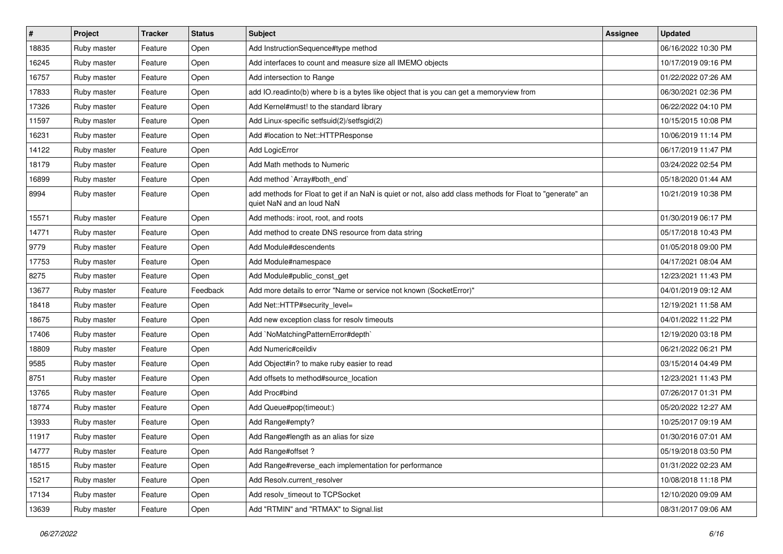| $\vert$ # | Project     | <b>Tracker</b> | <b>Status</b> | <b>Subject</b>                                                                                                                         | Assignee | <b>Updated</b>      |
|-----------|-------------|----------------|---------------|----------------------------------------------------------------------------------------------------------------------------------------|----------|---------------------|
| 18835     | Ruby master | Feature        | Open          | Add InstructionSequence#type method                                                                                                    |          | 06/16/2022 10:30 PM |
| 16245     | Ruby master | Feature        | Open          | Add interfaces to count and measure size all IMEMO objects                                                                             |          | 10/17/2019 09:16 PM |
| 16757     | Ruby master | Feature        | Open          | Add intersection to Range                                                                                                              |          | 01/22/2022 07:26 AM |
| 17833     | Ruby master | Feature        | Open          | add IO.readinto(b) where b is a bytes like object that is you can get a memoryview from                                                |          | 06/30/2021 02:36 PM |
| 17326     | Ruby master | Feature        | Open          | Add Kernel#must! to the standard library                                                                                               |          | 06/22/2022 04:10 PM |
| 11597     | Ruby master | Feature        | Open          | Add Linux-specific setfsuid(2)/setfsgid(2)                                                                                             |          | 10/15/2015 10:08 PM |
| 16231     | Ruby master | Feature        | Open          | Add #location to Net::HTTPResponse                                                                                                     |          | 10/06/2019 11:14 PM |
| 14122     | Ruby master | Feature        | Open          | <b>Add LogicError</b>                                                                                                                  |          | 06/17/2019 11:47 PM |
| 18179     | Ruby master | Feature        | Open          | Add Math methods to Numeric                                                                                                            |          | 03/24/2022 02:54 PM |
| 16899     | Ruby master | Feature        | Open          | Add method `Array#both_end`                                                                                                            |          | 05/18/2020 01:44 AM |
| 8994      | Ruby master | Feature        | Open          | add methods for Float to get if an NaN is quiet or not, also add class methods for Float to "generate" an<br>quiet NaN and an loud NaN |          | 10/21/2019 10:38 PM |
| 15571     | Ruby master | Feature        | Open          | Add methods: iroot, root, and roots                                                                                                    |          | 01/30/2019 06:17 PM |
| 14771     | Ruby master | Feature        | Open          | Add method to create DNS resource from data string                                                                                     |          | 05/17/2018 10:43 PM |
| 9779      | Ruby master | Feature        | Open          | Add Module#descendents                                                                                                                 |          | 01/05/2018 09:00 PM |
| 17753     | Ruby master | Feature        | Open          | Add Module#namespace                                                                                                                   |          | 04/17/2021 08:04 AM |
| 8275      | Ruby master | Feature        | Open          | Add Module#public_const_get                                                                                                            |          | 12/23/2021 11:43 PM |
| 13677     | Ruby master | Feature        | Feedback      | Add more details to error "Name or service not known (SocketError)"                                                                    |          | 04/01/2019 09:12 AM |
| 18418     | Ruby master | Feature        | Open          | Add Net::HTTP#security level=                                                                                                          |          | 12/19/2021 11:58 AM |
| 18675     | Ruby master | Feature        | Open          | Add new exception class for resolv timeouts                                                                                            |          | 04/01/2022 11:22 PM |
| 17406     | Ruby master | Feature        | Open          | Add `NoMatchingPatternError#depth`                                                                                                     |          | 12/19/2020 03:18 PM |
| 18809     | Ruby master | Feature        | Open          | Add Numeric#ceildiv                                                                                                                    |          | 06/21/2022 06:21 PM |
| 9585      | Ruby master | Feature        | Open          | Add Object#in? to make ruby easier to read                                                                                             |          | 03/15/2014 04:49 PM |
| 8751      | Ruby master | Feature        | Open          | Add offsets to method#source_location                                                                                                  |          | 12/23/2021 11:43 PM |
| 13765     | Ruby master | Feature        | Open          | Add Proc#bind                                                                                                                          |          | 07/26/2017 01:31 PM |
| 18774     | Ruby master | Feature        | Open          | Add Queue#pop(timeout:)                                                                                                                |          | 05/20/2022 12:27 AM |
| 13933     | Ruby master | Feature        | Open          | Add Range#empty?                                                                                                                       |          | 10/25/2017 09:19 AM |
| 11917     | Ruby master | Feature        | Open          | Add Range#length as an alias for size                                                                                                  |          | 01/30/2016 07:01 AM |
| 14777     | Ruby master | Feature        | Open          | Add Range#offset?                                                                                                                      |          | 05/19/2018 03:50 PM |
| 18515     | Ruby master | Feature        | Open          | Add Range#reverse_each implementation for performance                                                                                  |          | 01/31/2022 02:23 AM |
| 15217     | Ruby master | Feature        | Open          | Add Resolv.current_resolver                                                                                                            |          | 10/08/2018 11:18 PM |
| 17134     | Ruby master | Feature        | Open          | Add resolv_timeout to TCPSocket                                                                                                        |          | 12/10/2020 09:09 AM |
| 13639     | Ruby master | Feature        | Open          | Add "RTMIN" and "RTMAX" to Signal.list                                                                                                 |          | 08/31/2017 09:06 AM |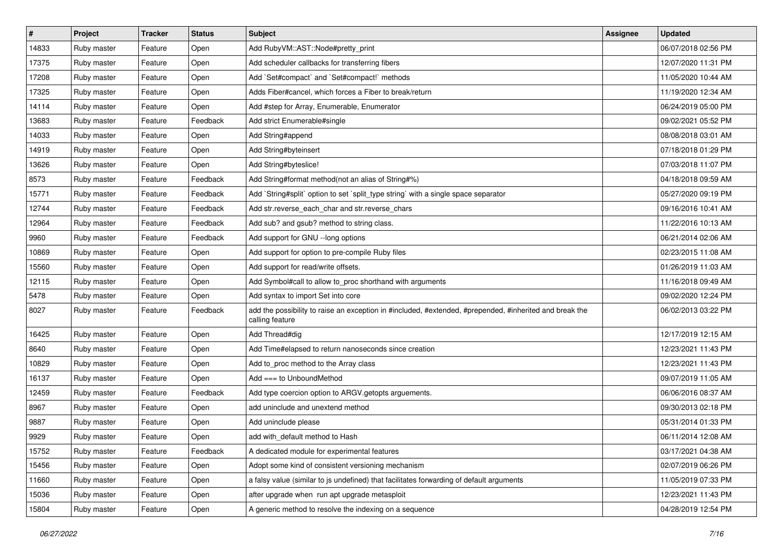| $\vert$ # | Project     | <b>Tracker</b> | <b>Status</b> | <b>Subject</b>                                                                                                             | <b>Assignee</b> | <b>Updated</b>      |
|-----------|-------------|----------------|---------------|----------------------------------------------------------------------------------------------------------------------------|-----------------|---------------------|
| 14833     | Ruby master | Feature        | Open          | Add RubyVM::AST::Node#pretty_print                                                                                         |                 | 06/07/2018 02:56 PM |
| 17375     | Ruby master | Feature        | Open          | Add scheduler callbacks for transferring fibers                                                                            |                 | 12/07/2020 11:31 PM |
| 17208     | Ruby master | Feature        | Open          | Add `Set#compact` and `Set#compact!` methods                                                                               |                 | 11/05/2020 10:44 AM |
| 17325     | Ruby master | Feature        | Open          | Adds Fiber#cancel, which forces a Fiber to break/return                                                                    |                 | 11/19/2020 12:34 AM |
| 14114     | Ruby master | Feature        | Open          | Add #step for Array, Enumerable, Enumerator                                                                                |                 | 06/24/2019 05:00 PM |
| 13683     | Ruby master | Feature        | Feedback      | Add strict Enumerable#single                                                                                               |                 | 09/02/2021 05:52 PM |
| 14033     | Ruby master | Feature        | Open          | Add String#append                                                                                                          |                 | 08/08/2018 03:01 AM |
| 14919     | Ruby master | Feature        | Open          | Add String#byteinsert                                                                                                      |                 | 07/18/2018 01:29 PM |
| 13626     | Ruby master | Feature        | Open          | Add String#byteslice!                                                                                                      |                 | 07/03/2018 11:07 PM |
| 8573      | Ruby master | Feature        | Feedback      | Add String#format method(not an alias of String#%)                                                                         |                 | 04/18/2018 09:59 AM |
| 15771     | Ruby master | Feature        | Feedback      | Add `String#split` option to set `split type string` with a single space separator                                         |                 | 05/27/2020 09:19 PM |
| 12744     | Ruby master | Feature        | Feedback      | Add str.reverse_each_char and str.reverse_chars                                                                            |                 | 09/16/2016 10:41 AM |
| 12964     | Ruby master | Feature        | Feedback      | Add sub? and gsub? method to string class.                                                                                 |                 | 11/22/2016 10:13 AM |
| 9960      | Ruby master | Feature        | Feedback      | Add support for GNU --long options                                                                                         |                 | 06/21/2014 02:06 AM |
| 10869     | Ruby master | Feature        | Open          | Add support for option to pre-compile Ruby files                                                                           |                 | 02/23/2015 11:08 AM |
| 15560     | Ruby master | Feature        | Open          | Add support for read/write offsets.                                                                                        |                 | 01/26/2019 11:03 AM |
| 12115     | Ruby master | Feature        | Open          | Add Symbol#call to allow to_proc shorthand with arguments                                                                  |                 | 11/16/2018 09:49 AM |
| 5478      | Ruby master | Feature        | Open          | Add syntax to import Set into core                                                                                         |                 | 09/02/2020 12:24 PM |
| 8027      | Ruby master | Feature        | Feedback      | add the possibility to raise an exception in #included, #extended, #prepended, #inherited and break the<br>calling feature |                 | 06/02/2013 03:22 PM |
| 16425     | Ruby master | Feature        | Open          | Add Thread#dig                                                                                                             |                 | 12/17/2019 12:15 AM |
| 8640      | Ruby master | Feature        | Open          | Add Time#elapsed to return nanoseconds since creation                                                                      |                 | 12/23/2021 11:43 PM |
| 10829     | Ruby master | Feature        | Open          | Add to_proc method to the Array class                                                                                      |                 | 12/23/2021 11:43 PM |
| 16137     | Ruby master | Feature        | Open          | Add $==$ to UnboundMethod                                                                                                  |                 | 09/07/2019 11:05 AM |
| 12459     | Ruby master | Feature        | Feedback      | Add type coercion option to ARGV getopts arguements.                                                                       |                 | 06/06/2016 08:37 AM |
| 8967      | Ruby master | Feature        | Open          | add uninclude and unextend method                                                                                          |                 | 09/30/2013 02:18 PM |
| 9887      | Ruby master | Feature        | Open          | Add uninclude please                                                                                                       |                 | 05/31/2014 01:33 PM |
| 9929      | Ruby master | Feature        | Open          | add with default method to Hash                                                                                            |                 | 06/11/2014 12:08 AM |
| 15752     | Ruby master | Feature        | Feedback      | A dedicated module for experimental features                                                                               |                 | 03/17/2021 04:38 AM |
| 15456     | Ruby master | Feature        | Open          | Adopt some kind of consistent versioning mechanism                                                                         |                 | 02/07/2019 06:26 PM |
| 11660     | Ruby master | Feature        | Open          | a falsy value (similar to js undefined) that facilitates forwarding of default arguments                                   |                 | 11/05/2019 07:33 PM |
| 15036     | Ruby master | Feature        | Open          | after upgrade when run apt upgrade metasploit                                                                              |                 | 12/23/2021 11:43 PM |
| 15804     | Ruby master | Feature        | Open          | A generic method to resolve the indexing on a sequence                                                                     |                 | 04/28/2019 12:54 PM |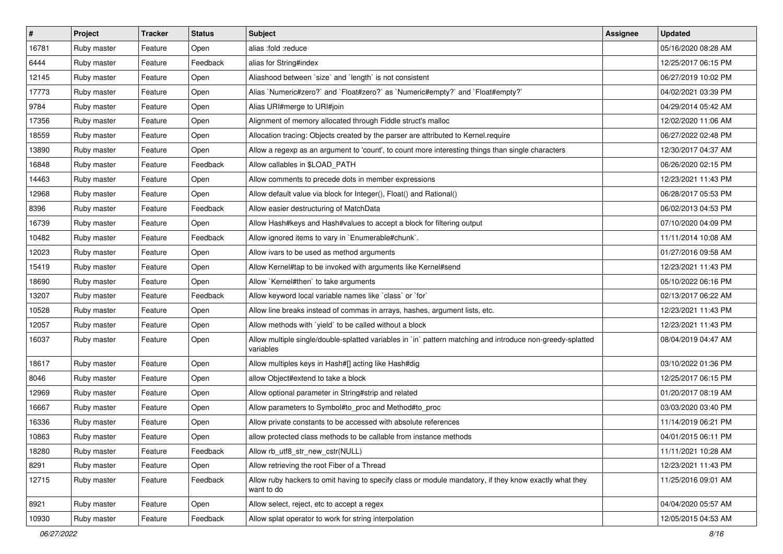| #     | Project     | <b>Tracker</b> | <b>Status</b> | <b>Subject</b>                                                                                                          | <b>Assignee</b> | <b>Updated</b>      |
|-------|-------------|----------------|---------------|-------------------------------------------------------------------------------------------------------------------------|-----------------|---------------------|
| 16781 | Ruby master | Feature        | Open          | alias :fold :reduce                                                                                                     |                 | 05/16/2020 08:28 AM |
| 6444  | Ruby master | Feature        | Feedback      | alias for String#index                                                                                                  |                 | 12/25/2017 06:15 PM |
| 12145 | Ruby master | Feature        | Open          | Aliashood between 'size' and 'length' is not consistent                                                                 |                 | 06/27/2019 10:02 PM |
| 17773 | Ruby master | Feature        | Open          | Alias `Numeric#zero?` and `Float#zero?` as `Numeric#empty?` and `Float#empty?`                                          |                 | 04/02/2021 03:39 PM |
| 9784  | Ruby master | Feature        | Open          | Alias URI#merge to URI#join                                                                                             |                 | 04/29/2014 05:42 AM |
| 17356 | Ruby master | Feature        | Open          | Alignment of memory allocated through Fiddle struct's malloc                                                            |                 | 12/02/2020 11:06 AM |
| 18559 | Ruby master | Feature        | Open          | Allocation tracing: Objects created by the parser are attributed to Kernel.require                                      |                 | 06/27/2022 02:48 PM |
| 13890 | Ruby master | Feature        | Open          | Allow a regexp as an argument to 'count', to count more interesting things than single characters                       |                 | 12/30/2017 04:37 AM |
| 16848 | Ruby master | Feature        | Feedback      | Allow callables in \$LOAD_PATH                                                                                          |                 | 06/26/2020 02:15 PM |
| 14463 | Ruby master | Feature        | Open          | Allow comments to precede dots in member expressions                                                                    |                 | 12/23/2021 11:43 PM |
| 12968 | Ruby master | Feature        | Open          | Allow default value via block for Integer(), Float() and Rational()                                                     |                 | 06/28/2017 05:53 PM |
| 8396  | Ruby master | Feature        | Feedback      | Allow easier destructuring of MatchData                                                                                 |                 | 06/02/2013 04:53 PM |
| 16739 | Ruby master | Feature        | Open          | Allow Hash#keys and Hash#values to accept a block for filtering output                                                  |                 | 07/10/2020 04:09 PM |
| 10482 | Ruby master | Feature        | Feedback      | Allow ignored items to vary in `Enumerable#chunk`.                                                                      |                 | 11/11/2014 10:08 AM |
| 12023 | Ruby master | Feature        | Open          | Allow ivars to be used as method arguments                                                                              |                 | 01/27/2016 09:58 AM |
| 15419 | Ruby master | Feature        | Open          | Allow Kernel#tap to be invoked with arguments like Kernel#send                                                          |                 | 12/23/2021 11:43 PM |
| 18690 | Ruby master | Feature        | Open          | Allow `Kernel#then` to take arguments                                                                                   |                 | 05/10/2022 06:16 PM |
| 13207 | Ruby master | Feature        | Feedback      | Allow keyword local variable names like `class` or `for`                                                                |                 | 02/13/2017 06:22 AM |
| 10528 | Ruby master | Feature        | Open          | Allow line breaks instead of commas in arrays, hashes, argument lists, etc.                                             |                 | 12/23/2021 11:43 PM |
| 12057 | Ruby master | Feature        | Open          | Allow methods with `yield` to be called without a block                                                                 |                 | 12/23/2021 11:43 PM |
| 16037 | Ruby master | Feature        | Open          | Allow multiple single/double-splatted variables in `in` pattern matching and introduce non-greedy-splatted<br>variables |                 | 08/04/2019 04:47 AM |
| 18617 | Ruby master | Feature        | Open          | Allow multiples keys in Hash#[] acting like Hash#dig                                                                    |                 | 03/10/2022 01:36 PM |
| 8046  | Ruby master | Feature        | Open          | allow Object#extend to take a block                                                                                     |                 | 12/25/2017 06:15 PM |
| 12969 | Ruby master | Feature        | Open          | Allow optional parameter in String#strip and related                                                                    |                 | 01/20/2017 08:19 AM |
| 16667 | Ruby master | Feature        | Open          | Allow parameters to Symbol#to_proc and Method#to_proc                                                                   |                 | 03/03/2020 03:40 PM |
| 16336 | Ruby master | Feature        | Open          | Allow private constants to be accessed with absolute references                                                         |                 | 11/14/2019 06:21 PM |
| 10863 | Ruby master | Feature        | Open          | allow protected class methods to be callable from instance methods                                                      |                 | 04/01/2015 06:11 PM |
| 18280 | Ruby master | Feature        | Feedback      | Allow rb utf8 str new cstr(NULL)                                                                                        |                 | 11/11/2021 10:28 AM |
| 8291  | Ruby master | Feature        | Open          | Allow retrieving the root Fiber of a Thread                                                                             |                 | 12/23/2021 11:43 PM |
| 12715 | Ruby master | Feature        | Feedback      | Allow ruby hackers to omit having to specify class or module mandatory, if they know exactly what they<br>want to do    |                 | 11/25/2016 09:01 AM |
| 8921  | Ruby master | Feature        | Open          | Allow select, reject, etc to accept a regex                                                                             |                 | 04/04/2020 05:57 AM |
| 10930 | Ruby master | Feature        | Feedback      | Allow splat operator to work for string interpolation                                                                   |                 | 12/05/2015 04:53 AM |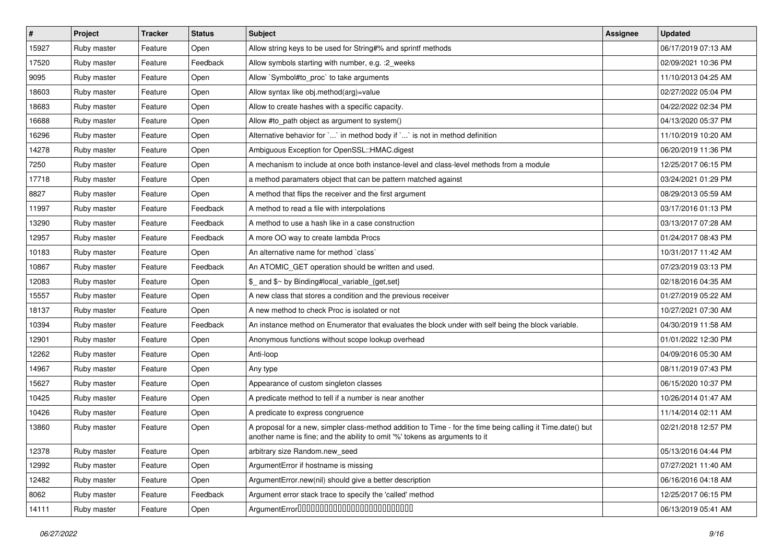| $\sharp$ | Project     | <b>Tracker</b> | <b>Status</b> | <b>Subject</b>                                                                                                                                                                             | <b>Assignee</b> | <b>Updated</b>      |
|----------|-------------|----------------|---------------|--------------------------------------------------------------------------------------------------------------------------------------------------------------------------------------------|-----------------|---------------------|
| 15927    | Ruby master | Feature        | Open          | Allow string keys to be used for String#% and sprintf methods                                                                                                                              |                 | 06/17/2019 07:13 AM |
| 17520    | Ruby master | Feature        | Feedback      | Allow symbols starting with number, e.g. : 2 weeks                                                                                                                                         |                 | 02/09/2021 10:36 PM |
| 9095     | Ruby master | Feature        | Open          | Allow `Symbol#to proc` to take arguments                                                                                                                                                   |                 | 11/10/2013 04:25 AM |
| 18603    | Ruby master | Feature        | Open          | Allow syntax like obj.method(arg)=value                                                                                                                                                    |                 | 02/27/2022 05:04 PM |
| 18683    | Ruby master | Feature        | Open          | Allow to create hashes with a specific capacity.                                                                                                                                           |                 | 04/22/2022 02:34 PM |
| 16688    | Ruby master | Feature        | Open          | Allow #to path object as argument to system()                                                                                                                                              |                 | 04/13/2020 05:37 PM |
| 16296    | Ruby master | Feature        | Open          | Alternative behavior for `` in method body if `` is not in method definition                                                                                                               |                 | 11/10/2019 10:20 AM |
| 14278    | Ruby master | Feature        | Open          | Ambiguous Exception for OpenSSL::HMAC.digest                                                                                                                                               |                 | 06/20/2019 11:36 PM |
| 7250     | Ruby master | Feature        | Open          | A mechanism to include at once both instance-level and class-level methods from a module                                                                                                   |                 | 12/25/2017 06:15 PM |
| 17718    | Ruby master | Feature        | Open          | a method paramaters object that can be pattern matched against                                                                                                                             |                 | 03/24/2021 01:29 PM |
| 8827     | Ruby master | Feature        | Open          | A method that flips the receiver and the first argument                                                                                                                                    |                 | 08/29/2013 05:59 AM |
| 11997    | Ruby master | Feature        | Feedback      | A method to read a file with interpolations                                                                                                                                                |                 | 03/17/2016 01:13 PM |
| 13290    | Ruby master | Feature        | Feedback      | A method to use a hash like in a case construction                                                                                                                                         |                 | 03/13/2017 07:28 AM |
| 12957    | Ruby master | Feature        | Feedback      | A more OO way to create lambda Procs                                                                                                                                                       |                 | 01/24/2017 08:43 PM |
| 10183    | Ruby master | Feature        | Open          | An alternative name for method `class`                                                                                                                                                     |                 | 10/31/2017 11:42 AM |
| 10867    | Ruby master | Feature        | Feedback      | An ATOMIC_GET operation should be written and used.                                                                                                                                        |                 | 07/23/2019 03:13 PM |
| 12083    | Ruby master | Feature        | Open          | \$_ and \$~ by Binding#local_variable_{get,set}                                                                                                                                            |                 | 02/18/2016 04:35 AM |
| 15557    | Ruby master | Feature        | Open          | A new class that stores a condition and the previous receiver                                                                                                                              |                 | 01/27/2019 05:22 AM |
| 18137    | Ruby master | Feature        | Open          | A new method to check Proc is isolated or not                                                                                                                                              |                 | 10/27/2021 07:30 AM |
| 10394    | Ruby master | Feature        | Feedback      | An instance method on Enumerator that evaluates the block under with self being the block variable.                                                                                        |                 | 04/30/2019 11:58 AM |
| 12901    | Ruby master | Feature        | Open          | Anonymous functions without scope lookup overhead                                                                                                                                          |                 | 01/01/2022 12:30 PM |
| 12262    | Ruby master | Feature        | Open          | Anti-loop                                                                                                                                                                                  |                 | 04/09/2016 05:30 AM |
| 14967    | Ruby master | Feature        | Open          | Any type                                                                                                                                                                                   |                 | 08/11/2019 07:43 PM |
| 15627    | Ruby master | Feature        | Open          | Appearance of custom singleton classes                                                                                                                                                     |                 | 06/15/2020 10:37 PM |
| 10425    | Ruby master | Feature        | Open          | A predicate method to tell if a number is near another                                                                                                                                     |                 | 10/26/2014 01:47 AM |
| 10426    | Ruby master | Feature        | Open          | A predicate to express congruence                                                                                                                                                          |                 | 11/14/2014 02:11 AM |
| 13860    | Ruby master | Feature        | Open          | A proposal for a new, simpler class-method addition to Time - for the time being calling it Time.date() but<br>another name is fine; and the ability to omit '%' tokens as arguments to it |                 | 02/21/2018 12:57 PM |
| 12378    | Ruby master | Feature        | Open          | arbitrary size Random.new_seed                                                                                                                                                             |                 | 05/13/2016 04:44 PM |
| 12992    | Ruby master | Feature        | Open          | ArgumentError if hostname is missing                                                                                                                                                       |                 | 07/27/2021 11:40 AM |
| 12482    | Ruby master | Feature        | Open          | ArgumentError.new(nil) should give a better description                                                                                                                                    |                 | 06/16/2016 04:18 AM |
| 8062     | Ruby master | Feature        | Feedback      | Argument error stack trace to specify the 'called' method                                                                                                                                  |                 | 12/25/2017 06:15 PM |
| 14111    | Ruby master | Feature        | Open          |                                                                                                                                                                                            |                 | 06/13/2019 05:41 AM |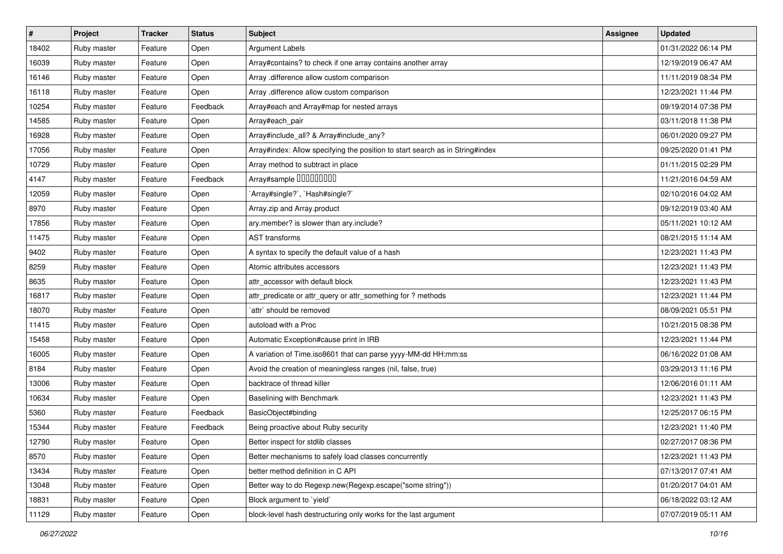| $\vert$ # | Project     | <b>Tracker</b> | <b>Status</b> | <b>Subject</b>                                                                | <b>Assignee</b> | <b>Updated</b>      |
|-----------|-------------|----------------|---------------|-------------------------------------------------------------------------------|-----------------|---------------------|
| 18402     | Ruby master | Feature        | Open          | Argument Labels                                                               |                 | 01/31/2022 06:14 PM |
| 16039     | Ruby master | Feature        | Open          | Array#contains? to check if one array contains another array                  |                 | 12/19/2019 06:47 AM |
| 16146     | Ruby master | Feature        | Open          | Array .difference allow custom comparison                                     |                 | 11/11/2019 08:34 PM |
| 16118     | Ruby master | Feature        | Open          | Array .difference allow custom comparison                                     |                 | 12/23/2021 11:44 PM |
| 10254     | Ruby master | Feature        | Feedback      | Array#each and Array#map for nested arrays                                    |                 | 09/19/2014 07:38 PM |
| 14585     | Ruby master | Feature        | Open          | Array#each_pair                                                               |                 | 03/11/2018 11:38 PM |
| 16928     | Ruby master | Feature        | Open          | Array#include_all? & Array#include_any?                                       |                 | 06/01/2020 09:27 PM |
| 17056     | Ruby master | Feature        | Open          | Array#index: Allow specifying the position to start search as in String#index |                 | 09/25/2020 01:41 PM |
| 10729     | Ruby master | Feature        | Open          | Array method to subtract in place                                             |                 | 01/11/2015 02:29 PM |
| 4147      | Ruby master | Feature        | Feedback      | Array#sample 00000000                                                         |                 | 11/21/2016 04:59 AM |
| 12059     | Ruby master | Feature        | Open          | `Array#single?`, `Hash#single?`                                               |                 | 02/10/2016 04:02 AM |
| 8970      | Ruby master | Feature        | Open          | Array.zip and Array.product                                                   |                 | 09/12/2019 03:40 AM |
| 17856     | Ruby master | Feature        | Open          | ary.member? is slower than ary.include?                                       |                 | 05/11/2021 10:12 AM |
| 11475     | Ruby master | Feature        | Open          | AST transforms                                                                |                 | 08/21/2015 11:14 AM |
| 9402      | Ruby master | Feature        | Open          | A syntax to specify the default value of a hash                               |                 | 12/23/2021 11:43 PM |
| 8259      | Ruby master | Feature        | Open          | Atomic attributes accessors                                                   |                 | 12/23/2021 11:43 PM |
| 8635      | Ruby master | Feature        | Open          | attr accessor with default block                                              |                 | 12/23/2021 11:43 PM |
| 16817     | Ruby master | Feature        | Open          | attr_predicate or attr_query or attr_something for ? methods                  |                 | 12/23/2021 11:44 PM |
| 18070     | Ruby master | Feature        | Open          | `attr` should be removed                                                      |                 | 08/09/2021 05:51 PM |
| 11415     | Ruby master | Feature        | Open          | autoload with a Proc                                                          |                 | 10/21/2015 08:38 PM |
| 15458     | Ruby master | Feature        | Open          | Automatic Exception#cause print in IRB                                        |                 | 12/23/2021 11:44 PM |
| 16005     | Ruby master | Feature        | Open          | A variation of Time.iso8601 that can parse yyyy-MM-dd HH:mm:ss                |                 | 06/16/2022 01:08 AM |
| 8184      | Ruby master | Feature        | Open          | Avoid the creation of meaningless ranges (nil, false, true)                   |                 | 03/29/2013 11:16 PM |
| 13006     | Ruby master | Feature        | Open          | backtrace of thread killer                                                    |                 | 12/06/2016 01:11 AM |
| 10634     | Ruby master | Feature        | Open          | Baselining with Benchmark                                                     |                 | 12/23/2021 11:43 PM |
| 5360      | Ruby master | Feature        | Feedback      | BasicObject#binding                                                           |                 | 12/25/2017 06:15 PM |
| 15344     | Ruby master | Feature        | Feedback      | Being proactive about Ruby security                                           |                 | 12/23/2021 11:40 PM |
| 12790     | Ruby master | Feature        | Open          | Better inspect for stdlib classes                                             |                 | 02/27/2017 08:36 PM |
| 8570      | Ruby master | Feature        | Open          | Better mechanisms to safely load classes concurrently                         |                 | 12/23/2021 11:43 PM |
| 13434     | Ruby master | Feature        | Open          | better method definition in C API                                             |                 | 07/13/2017 07:41 AM |
| 13048     | Ruby master | Feature        | Open          | Better way to do Regexp.new(Regexp.escape("some string"))                     |                 | 01/20/2017 04:01 AM |
| 18831     | Ruby master | Feature        | Open          | Block argument to 'yield'                                                     |                 | 06/18/2022 03:12 AM |
| 11129     | Ruby master | Feature        | Open          | block-level hash destructuring only works for the last argument               |                 | 07/07/2019 05:11 AM |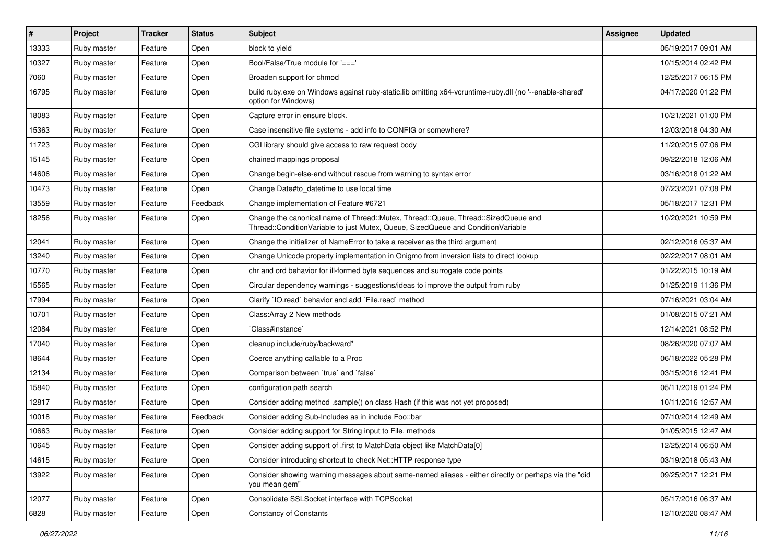| $\vert$ # | Project     | <b>Tracker</b> | <b>Status</b> | Subject                                                                                                                                                               | Assignee | <b>Updated</b>      |
|-----------|-------------|----------------|---------------|-----------------------------------------------------------------------------------------------------------------------------------------------------------------------|----------|---------------------|
| 13333     | Ruby master | Feature        | Open          | block to yield                                                                                                                                                        |          | 05/19/2017 09:01 AM |
| 10327     | Ruby master | Feature        | Open          | Bool/False/True module for '==='                                                                                                                                      |          | 10/15/2014 02:42 PM |
| 7060      | Ruby master | Feature        | Open          | Broaden support for chmod                                                                                                                                             |          | 12/25/2017 06:15 PM |
| 16795     | Ruby master | Feature        | Open          | build ruby.exe on Windows against ruby-static.lib omitting x64-vcruntime-ruby.dll (no '--enable-shared'<br>option for Windows)                                        |          | 04/17/2020 01:22 PM |
| 18083     | Ruby master | Feature        | Open          | Capture error in ensure block.                                                                                                                                        |          | 10/21/2021 01:00 PM |
| 15363     | Ruby master | Feature        | Open          | Case insensitive file systems - add info to CONFIG or somewhere?                                                                                                      |          | 12/03/2018 04:30 AM |
| 11723     | Ruby master | Feature        | Open          | CGI library should give access to raw request body                                                                                                                    |          | 11/20/2015 07:06 PM |
| 15145     | Ruby master | Feature        | Open          | chained mappings proposal                                                                                                                                             |          | 09/22/2018 12:06 AM |
| 14606     | Ruby master | Feature        | Open          | Change begin-else-end without rescue from warning to syntax error                                                                                                     |          | 03/16/2018 01:22 AM |
| 10473     | Ruby master | Feature        | Open          | Change Date#to datetime to use local time                                                                                                                             |          | 07/23/2021 07:08 PM |
| 13559     | Ruby master | Feature        | Feedback      | Change implementation of Feature #6721                                                                                                                                |          | 05/18/2017 12:31 PM |
| 18256     | Ruby master | Feature        | Open          | Change the canonical name of Thread::Mutex, Thread::Queue, Thread::SizedQueue and<br>Thread::ConditionVariable to just Mutex, Queue, SizedQueue and ConditionVariable |          | 10/20/2021 10:59 PM |
| 12041     | Ruby master | Feature        | Open          | Change the initializer of NameError to take a receiver as the third argument                                                                                          |          | 02/12/2016 05:37 AM |
| 13240     | Ruby master | Feature        | Open          | Change Unicode property implementation in Onigmo from inversion lists to direct lookup                                                                                |          | 02/22/2017 08:01 AM |
| 10770     | Ruby master | Feature        | Open          | chr and ord behavior for ill-formed byte sequences and surrogate code points                                                                                          |          | 01/22/2015 10:19 AM |
| 15565     | Ruby master | Feature        | Open          | Circular dependency warnings - suggestions/ideas to improve the output from ruby                                                                                      |          | 01/25/2019 11:36 PM |
| 17994     | Ruby master | Feature        | Open          | Clarify `IO.read` behavior and add `File.read` method                                                                                                                 |          | 07/16/2021 03:04 AM |
| 10701     | Ruby master | Feature        | Open          | Class: Array 2 New methods                                                                                                                                            |          | 01/08/2015 07:21 AM |
| 12084     | Ruby master | Feature        | Open          | 'Class#instance'                                                                                                                                                      |          | 12/14/2021 08:52 PM |
| 17040     | Ruby master | Feature        | Open          | cleanup include/ruby/backward*                                                                                                                                        |          | 08/26/2020 07:07 AM |
| 18644     | Ruby master | Feature        | Open          | Coerce anything callable to a Proc                                                                                                                                    |          | 06/18/2022 05:28 PM |
| 12134     | Ruby master | Feature        | Open          | Comparison between 'true' and 'false'                                                                                                                                 |          | 03/15/2016 12:41 PM |
| 15840     | Ruby master | Feature        | Open          | configuration path search                                                                                                                                             |          | 05/11/2019 01:24 PM |
| 12817     | Ruby master | Feature        | Open          | Consider adding method .sample() on class Hash (if this was not yet proposed)                                                                                         |          | 10/11/2016 12:57 AM |
| 10018     | Ruby master | Feature        | Feedback      | Consider adding Sub-Includes as in include Foo::bar                                                                                                                   |          | 07/10/2014 12:49 AM |
| 10663     | Ruby master | Feature        | Open          | Consider adding support for String input to File. methods                                                                                                             |          | 01/05/2015 12:47 AM |
| 10645     | Ruby master | Feature        | Open          | Consider adding support of .first to MatchData object like MatchData[0]                                                                                               |          | 12/25/2014 06:50 AM |
| 14615     | Ruby master | Feature        | Open          | Consider introducing shortcut to check Net::HTTP response type                                                                                                        |          | 03/19/2018 05:43 AM |
| 13922     | Ruby master | Feature        | Open          | Consider showing warning messages about same-named aliases - either directly or perhaps via the "did<br>you mean gem"                                                 |          | 09/25/2017 12:21 PM |
| 12077     | Ruby master | Feature        | Open          | Consolidate SSLSocket interface with TCPSocket                                                                                                                        |          | 05/17/2016 06:37 AM |
| 6828      | Ruby master | Feature        | Open          | <b>Constancy of Constants</b>                                                                                                                                         |          | 12/10/2020 08:47 AM |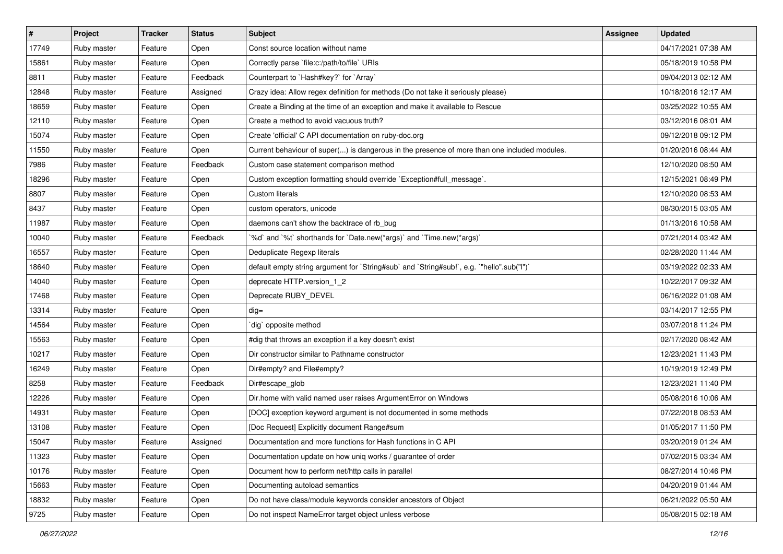| $\vert$ # | Project     | <b>Tracker</b> | <b>Status</b> | <b>Subject</b>                                                                               | <b>Assignee</b> | <b>Updated</b>      |
|-----------|-------------|----------------|---------------|----------------------------------------------------------------------------------------------|-----------------|---------------------|
| 17749     | Ruby master | Feature        | Open          | Const source location without name                                                           |                 | 04/17/2021 07:38 AM |
| 15861     | Ruby master | Feature        | Open          | Correctly parse `file:c:/path/to/file` URIs                                                  |                 | 05/18/2019 10:58 PM |
| 8811      | Ruby master | Feature        | Feedback      | Counterpart to `Hash#key?` for `Array`                                                       |                 | 09/04/2013 02:12 AM |
| 12848     | Ruby master | Feature        | Assigned      | Crazy idea: Allow regex definition for methods (Do not take it seriously please)             |                 | 10/18/2016 12:17 AM |
| 18659     | Ruby master | Feature        | Open          | Create a Binding at the time of an exception and make it available to Rescue                 |                 | 03/25/2022 10:55 AM |
| 12110     | Ruby master | Feature        | Open          | Create a method to avoid vacuous truth?                                                      |                 | 03/12/2016 08:01 AM |
| 15074     | Ruby master | Feature        | Open          | Create 'official' C API documentation on ruby-doc.org                                        |                 | 09/12/2018 09:12 PM |
| 11550     | Ruby master | Feature        | Open          | Current behaviour of super() is dangerous in the presence of more than one included modules. |                 | 01/20/2016 08:44 AM |
| 7986      | Ruby master | Feature        | Feedback      | Custom case statement comparison method                                                      |                 | 12/10/2020 08:50 AM |
| 18296     | Ruby master | Feature        | Open          | Custom exception formatting should override `Exception#full_message`.                        |                 | 12/15/2021 08:49 PM |
| 8807      | Ruby master | Feature        | Open          | Custom literals                                                                              |                 | 12/10/2020 08:53 AM |
| 8437      | Ruby master | Feature        | Open          | custom operators, unicode                                                                    |                 | 08/30/2015 03:05 AM |
| 11987     | Ruby master | Feature        | Open          | daemons can't show the backtrace of rb bug                                                   |                 | 01/13/2016 10:58 AM |
| 10040     | Ruby master | Feature        | Feedback      | '%d' and '%t' shorthands for 'Date.new(*args)' and 'Time.new(*args)'                         |                 | 07/21/2014 03:42 AM |
| 16557     | Ruby master | Feature        | Open          | Deduplicate Regexp literals                                                                  |                 | 02/28/2020 11:44 AM |
| 18640     | Ruby master | Feature        | Open          | default empty string argument for `String#sub` and `String#sub!`, e.g. `"hello".sub("I")`    |                 | 03/19/2022 02:33 AM |
| 14040     | Ruby master | Feature        | Open          | deprecate HTTP.version_1_2                                                                   |                 | 10/22/2017 09:32 AM |
| 17468     | Ruby master | Feature        | Open          | Deprecate RUBY_DEVEL                                                                         |                 | 06/16/2022 01:08 AM |
| 13314     | Ruby master | Feature        | Open          | $dig =$                                                                                      |                 | 03/14/2017 12:55 PM |
| 14564     | Ruby master | Feature        | Open          | dig` opposite method                                                                         |                 | 03/07/2018 11:24 PM |
| 15563     | Ruby master | Feature        | Open          | #dig that throws an exception if a key doesn't exist                                         |                 | 02/17/2020 08:42 AM |
| 10217     | Ruby master | Feature        | Open          | Dir constructor similar to Pathname constructor                                              |                 | 12/23/2021 11:43 PM |
| 16249     | Ruby master | Feature        | Open          | Dir#empty? and File#empty?                                                                   |                 | 10/19/2019 12:49 PM |
| 8258      | Ruby master | Feature        | Feedback      | Dir#escape_glob                                                                              |                 | 12/23/2021 11:40 PM |
| 12226     | Ruby master | Feature        | Open          | Dir.home with valid named user raises ArgumentError on Windows                               |                 | 05/08/2016 10:06 AM |
| 14931     | Ruby master | Feature        | Open          | [DOC] exception keyword argument is not documented in some methods                           |                 | 07/22/2018 08:53 AM |
| 13108     | Ruby master | Feature        | Open          | [Doc Request] Explicitly document Range#sum                                                  |                 | 01/05/2017 11:50 PM |
| 15047     | Ruby master | Feature        | Assigned      | Documentation and more functions for Hash functions in C API                                 |                 | 03/20/2019 01:24 AM |
| 11323     | Ruby master | Feature        | Open          | Documentation update on how uniq works / guarantee of order                                  |                 | 07/02/2015 03:34 AM |
| 10176     | Ruby master | Feature        | Open          | Document how to perform net/http calls in parallel                                           |                 | 08/27/2014 10:46 PM |
| 15663     | Ruby master | Feature        | Open          | Documenting autoload semantics                                                               |                 | 04/20/2019 01:44 AM |
| 18832     | Ruby master | Feature        | Open          | Do not have class/module keywords consider ancestors of Object                               |                 | 06/21/2022 05:50 AM |
| 9725      | Ruby master | Feature        | Open          | Do not inspect NameError target object unless verbose                                        |                 | 05/08/2015 02:18 AM |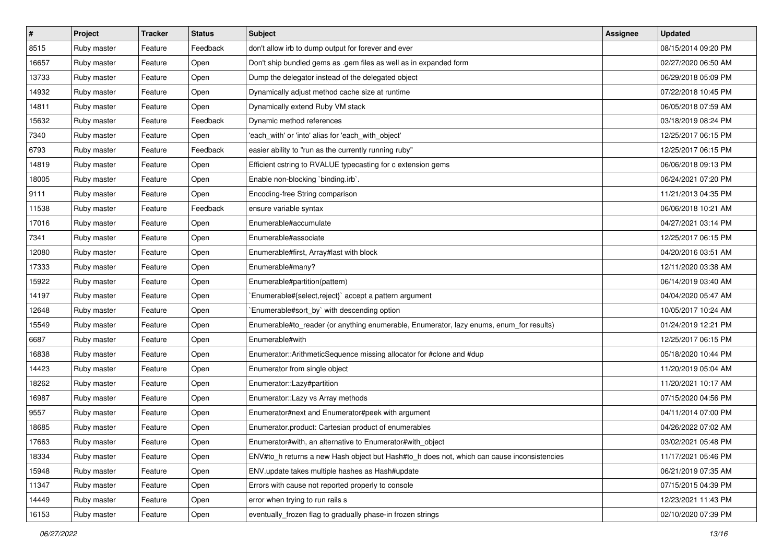| $\vert$ # | Project     | <b>Tracker</b> | <b>Status</b> | <b>Subject</b>                                                                             | <b>Assignee</b> | <b>Updated</b>      |
|-----------|-------------|----------------|---------------|--------------------------------------------------------------------------------------------|-----------------|---------------------|
| 8515      | Ruby master | Feature        | Feedback      | don't allow irb to dump output for forever and ever                                        |                 | 08/15/2014 09:20 PM |
| 16657     | Ruby master | Feature        | Open          | Don't ship bundled gems as .gem files as well as in expanded form                          |                 | 02/27/2020 06:50 AM |
| 13733     | Ruby master | Feature        | Open          | Dump the delegator instead of the delegated object                                         |                 | 06/29/2018 05:09 PM |
| 14932     | Ruby master | Feature        | Open          | Dynamically adjust method cache size at runtime                                            |                 | 07/22/2018 10:45 PM |
| 14811     | Ruby master | Feature        | Open          | Dynamically extend Ruby VM stack                                                           |                 | 06/05/2018 07:59 AM |
| 15632     | Ruby master | Feature        | Feedback      | Dynamic method references                                                                  |                 | 03/18/2019 08:24 PM |
| 7340      | Ruby master | Feature        | Open          | 'each_with' or 'into' alias for 'each_with_object'                                         |                 | 12/25/2017 06:15 PM |
| 6793      | Ruby master | Feature        | Feedback      | easier ability to "run as the currently running ruby"                                      |                 | 12/25/2017 06:15 PM |
| 14819     | Ruby master | Feature        | Open          | Efficient cstring to RVALUE typecasting for c extension gems                               |                 | 06/06/2018 09:13 PM |
| 18005     | Ruby master | Feature        | Open          | Enable non-blocking 'binding.irb'.                                                         |                 | 06/24/2021 07:20 PM |
| 9111      | Ruby master | Feature        | Open          | Encoding-free String comparison                                                            |                 | 11/21/2013 04:35 PM |
| 11538     | Ruby master | Feature        | Feedback      | ensure variable syntax                                                                     |                 | 06/06/2018 10:21 AM |
| 17016     | Ruby master | Feature        | Open          | Enumerable#accumulate                                                                      |                 | 04/27/2021 03:14 PM |
| 7341      | Ruby master | Feature        | Open          | Enumerable#associate                                                                       |                 | 12/25/2017 06:15 PM |
| 12080     | Ruby master | Feature        | Open          | Enumerable#first, Array#last with block                                                    |                 | 04/20/2016 03:51 AM |
| 17333     | Ruby master | Feature        | Open          | Enumerable#many?                                                                           |                 | 12/11/2020 03:38 AM |
| 15922     | Ruby master | Feature        | Open          | Enumerable#partition(pattern)                                                              |                 | 06/14/2019 03:40 AM |
| 14197     | Ruby master | Feature        | Open          | Enumerable#{select,reject}` accept a pattern argument                                      |                 | 04/04/2020 05:47 AM |
| 12648     | Ruby master | Feature        | Open          | `Enumerable#sort_by` with descending option                                                |                 | 10/05/2017 10:24 AM |
| 15549     | Ruby master | Feature        | Open          | Enumerable#to_reader (or anything enumerable, Enumerator, lazy enums, enum_for results)    |                 | 01/24/2019 12:21 PM |
| 6687      | Ruby master | Feature        | Open          | Enumerable#with                                                                            |                 | 12/25/2017 06:15 PM |
| 16838     | Ruby master | Feature        | Open          | Enumerator::ArithmeticSequence missing allocator for #clone and #dup                       |                 | 05/18/2020 10:44 PM |
| 14423     | Ruby master | Feature        | Open          | Enumerator from single object                                                              |                 | 11/20/2019 05:04 AM |
| 18262     | Ruby master | Feature        | Open          | Enumerator::Lazy#partition                                                                 |                 | 11/20/2021 10:17 AM |
| 16987     | Ruby master | Feature        | Open          | Enumerator::Lazy vs Array methods                                                          |                 | 07/15/2020 04:56 PM |
| 9557      | Ruby master | Feature        | Open          | Enumerator#next and Enumerator#peek with argument                                          |                 | 04/11/2014 07:00 PM |
| 18685     | Ruby master | Feature        | Open          | Enumerator.product: Cartesian product of enumerables                                       |                 | 04/26/2022 07:02 AM |
| 17663     | Ruby master | Feature        | Open          | Enumerator#with, an alternative to Enumerator#with_object                                  |                 | 03/02/2021 05:48 PM |
| 18334     | Ruby master | Feature        | Open          | ENV#to h returns a new Hash object but Hash#to h does not, which can cause inconsistencies |                 | 11/17/2021 05:46 PM |
| 15948     | Ruby master | Feature        | Open          | ENV.update takes multiple hashes as Hash#update                                            |                 | 06/21/2019 07:35 AM |
| 11347     | Ruby master | Feature        | Open          | Errors with cause not reported properly to console                                         |                 | 07/15/2015 04:39 PM |
| 14449     | Ruby master | Feature        | Open          | error when trying to run rails s                                                           |                 | 12/23/2021 11:43 PM |
| 16153     | Ruby master | Feature        | Open          | eventually_frozen flag to gradually phase-in frozen strings                                |                 | 02/10/2020 07:39 PM |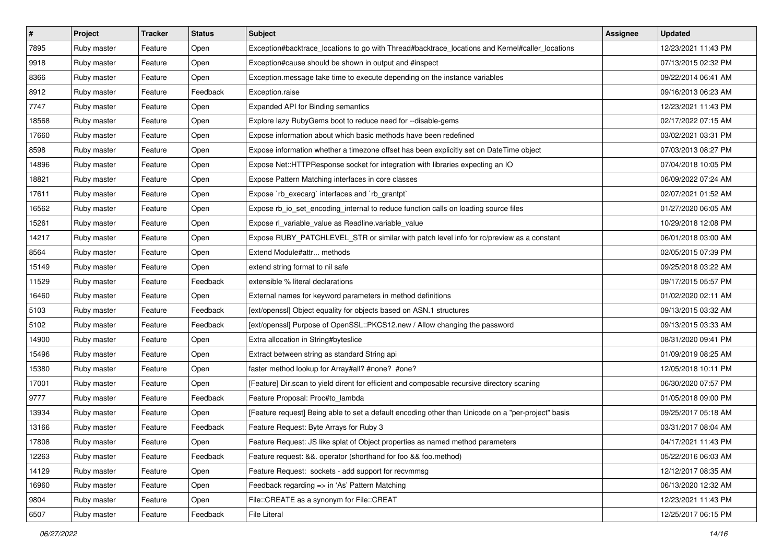| $\vert$ # | Project     | <b>Tracker</b> | <b>Status</b> | <b>Subject</b>                                                                                     | Assignee | <b>Updated</b>      |
|-----------|-------------|----------------|---------------|----------------------------------------------------------------------------------------------------|----------|---------------------|
| 7895      | Ruby master | Feature        | Open          | Exception#backtrace_locations to go with Thread#backtrace_locations and Kernel#caller_locations    |          | 12/23/2021 11:43 PM |
| 9918      | Ruby master | Feature        | Open          | Exception#cause should be shown in output and #inspect                                             |          | 07/13/2015 02:32 PM |
| 8366      | Ruby master | Feature        | Open          | Exception.message take time to execute depending on the instance variables                         |          | 09/22/2014 06:41 AM |
| 8912      | Ruby master | Feature        | Feedback      | Exception.raise                                                                                    |          | 09/16/2013 06:23 AM |
| 7747      | Ruby master | Feature        | Open          | <b>Expanded API for Binding semantics</b>                                                          |          | 12/23/2021 11:43 PM |
| 18568     | Ruby master | Feature        | Open          | Explore lazy RubyGems boot to reduce need for --disable-gems                                       |          | 02/17/2022 07:15 AM |
| 17660     | Ruby master | Feature        | Open          | Expose information about which basic methods have been redefined                                   |          | 03/02/2021 03:31 PM |
| 8598      | Ruby master | Feature        | Open          | Expose information whether a timezone offset has been explicitly set on DateTime object            |          | 07/03/2013 08:27 PM |
| 14896     | Ruby master | Feature        | Open          | Expose Net::HTTPResponse socket for integration with libraries expecting an IO                     |          | 07/04/2018 10:05 PM |
| 18821     | Ruby master | Feature        | Open          | Expose Pattern Matching interfaces in core classes                                                 |          | 06/09/2022 07:24 AM |
| 17611     | Ruby master | Feature        | Open          | Expose `rb_execarg` interfaces and `rb_grantpt`                                                    |          | 02/07/2021 01:52 AM |
| 16562     | Ruby master | Feature        | Open          | Expose rb_io_set_encoding_internal to reduce function calls on loading source files                |          | 01/27/2020 06:05 AM |
| 15261     | Ruby master | Feature        | Open          | Expose rl_variable_value as Readline.variable_value                                                |          | 10/29/2018 12:08 PM |
| 14217     | Ruby master | Feature        | Open          | Expose RUBY_PATCHLEVEL_STR or similar with patch level info for rc/preview as a constant           |          | 06/01/2018 03:00 AM |
| 8564      | Ruby master | Feature        | Open          | Extend Module#attr methods                                                                         |          | 02/05/2015 07:39 PM |
| 15149     | Ruby master | Feature        | Open          | extend string format to nil safe                                                                   |          | 09/25/2018 03:22 AM |
| 11529     | Ruby master | Feature        | Feedback      | extensible % literal declarations                                                                  |          | 09/17/2015 05:57 PM |
| 16460     | Ruby master | Feature        | Open          | External names for keyword parameters in method definitions                                        |          | 01/02/2020 02:11 AM |
| 5103      | Ruby master | Feature        | Feedback      | [ext/openssl] Object equality for objects based on ASN.1 structures                                |          | 09/13/2015 03:32 AM |
| 5102      | Ruby master | Feature        | Feedback      | [ext/openssl] Purpose of OpenSSL::PKCS12.new / Allow changing the password                         |          | 09/13/2015 03:33 AM |
| 14900     | Ruby master | Feature        | Open          | Extra allocation in String#byteslice                                                               |          | 08/31/2020 09:41 PM |
| 15496     | Ruby master | Feature        | Open          | Extract between string as standard String api                                                      |          | 01/09/2019 08:25 AM |
| 15380     | Ruby master | Feature        | Open          | faster method lookup for Array#all? #none? #one?                                                   |          | 12/05/2018 10:11 PM |
| 17001     | Ruby master | Feature        | Open          | [Feature] Dir.scan to yield dirent for efficient and composable recursive directory scaning        |          | 06/30/2020 07:57 PM |
| 9777      | Ruby master | Feature        | Feedback      | Feature Proposal: Proc#to_lambda                                                                   |          | 01/05/2018 09:00 PM |
| 13934     | Ruby master | Feature        | Open          | [Feature request] Being able to set a default encoding other than Unicode on a "per-project" basis |          | 09/25/2017 05:18 AM |
| 13166     | Ruby master | Feature        | Feedback      | Feature Request: Byte Arrays for Ruby 3                                                            |          | 03/31/2017 08:04 AM |
| 17808     | Ruby master | Feature        | Open          | Feature Request: JS like splat of Object properties as named method parameters                     |          | 04/17/2021 11:43 PM |
| 12263     | Ruby master | Feature        | Feedback      | Feature request: &&. operator (shorthand for foo && foo.method)                                    |          | 05/22/2016 06:03 AM |
| 14129     | Ruby master | Feature        | Open          | Feature Request: sockets - add support for recvmmsg                                                |          | 12/12/2017 08:35 AM |
| 16960     | Ruby master | Feature        | Open          | Feedback regarding => in 'As' Pattern Matching                                                     |          | 06/13/2020 12:32 AM |
| 9804      | Ruby master | Feature        | Open          | File::CREATE as a synonym for File::CREAT                                                          |          | 12/23/2021 11:43 PM |
| 6507      | Ruby master | Feature        | Feedback      | File Literal                                                                                       |          | 12/25/2017 06:15 PM |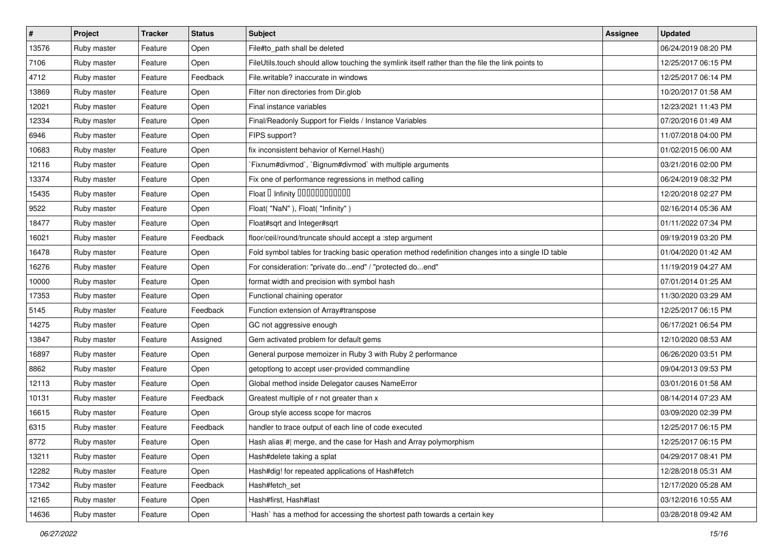| $\vert$ # | Project     | <b>Tracker</b> | <b>Status</b> | <b>Subject</b>                                                                                     | Assignee | <b>Updated</b>      |
|-----------|-------------|----------------|---------------|----------------------------------------------------------------------------------------------------|----------|---------------------|
| 13576     | Ruby master | Feature        | Open          | File#to_path shall be deleted                                                                      |          | 06/24/2019 08:20 PM |
| 7106      | Ruby master | Feature        | Open          | FileUtils.touch should allow touching the symlink itself rather than the file the link points to   |          | 12/25/2017 06:15 PM |
| 4712      | Ruby master | Feature        | Feedback      | File.writable? inaccurate in windows                                                               |          | 12/25/2017 06:14 PM |
| 13869     | Ruby master | Feature        | Open          | Filter non directories from Dir.glob                                                               |          | 10/20/2017 01:58 AM |
| 12021     | Ruby master | Feature        | Open          | Final instance variables                                                                           |          | 12/23/2021 11:43 PM |
| 12334     | Ruby master | Feature        | Open          | Final/Readonly Support for Fields / Instance Variables                                             |          | 07/20/2016 01:49 AM |
| 6946      | Ruby master | Feature        | Open          | FIPS support?                                                                                      |          | 11/07/2018 04:00 PM |
| 10683     | Ruby master | Feature        | Open          | fix inconsistent behavior of Kernel. Hash()                                                        |          | 01/02/2015 06:00 AM |
| 12116     | Ruby master | Feature        | Open          | Fixnum#divmod`, `Bignum#divmod` with multiple arguments                                            |          | 03/21/2016 02:00 PM |
| 13374     | Ruby master | Feature        | Open          | Fix one of performance regressions in method calling                                               |          | 06/24/2019 08:32 PM |
| 15435     | Ruby master | Feature        | Open          | Float D Infinity 000000000000                                                                      |          | 12/20/2018 02:27 PM |
| 9522      | Ruby master | Feature        | Open          | Float("NaN"), Float("Infinity")                                                                    |          | 02/16/2014 05:36 AM |
| 18477     | Ruby master | Feature        | Open          | Float#sqrt and Integer#sqrt                                                                        |          | 01/11/2022 07:34 PM |
| 16021     | Ruby master | Feature        | Feedback      | floor/ceil/round/truncate should accept a :step argument                                           |          | 09/19/2019 03:20 PM |
| 16478     | Ruby master | Feature        | Open          | Fold symbol tables for tracking basic operation method redefinition changes into a single ID table |          | 01/04/2020 01:42 AM |
| 16276     | Ruby master | Feature        | Open          | For consideration: "private doend" / "protected doend"                                             |          | 11/19/2019 04:27 AM |
| 10000     | Ruby master | Feature        | Open          | format width and precision with symbol hash                                                        |          | 07/01/2014 01:25 AM |
| 17353     | Ruby master | Feature        | Open          | Functional chaining operator                                                                       |          | 11/30/2020 03:29 AM |
| 5145      | Ruby master | Feature        | Feedback      | Function extension of Array#transpose                                                              |          | 12/25/2017 06:15 PM |
| 14275     | Ruby master | Feature        | Open          | GC not aggressive enough                                                                           |          | 06/17/2021 06:54 PM |
| 13847     | Ruby master | Feature        | Assigned      | Gem activated problem for default gems                                                             |          | 12/10/2020 08:53 AM |
| 16897     | Ruby master | Feature        | Open          | General purpose memoizer in Ruby 3 with Ruby 2 performance                                         |          | 06/26/2020 03:51 PM |
| 8862      | Ruby master | Feature        | Open          | getoptlong to accept user-provided commandline                                                     |          | 09/04/2013 09:53 PM |
| 12113     | Ruby master | Feature        | Open          | Global method inside Delegator causes NameError                                                    |          | 03/01/2016 01:58 AM |
| 10131     | Ruby master | Feature        | Feedback      | Greatest multiple of r not greater than x                                                          |          | 08/14/2014 07:23 AM |
| 16615     | Ruby master | Feature        | Open          | Group style access scope for macros                                                                |          | 03/09/2020 02:39 PM |
| 6315      | Ruby master | Feature        | Feedback      | handler to trace output of each line of code executed                                              |          | 12/25/2017 06:15 PM |
| 8772      | Ruby master | Feature        | Open          | Hash alias #  merge, and the case for Hash and Array polymorphism                                  |          | 12/25/2017 06:15 PM |
| 13211     | Ruby master | Feature        | Open          | Hash#delete taking a splat                                                                         |          | 04/29/2017 08:41 PM |
| 12282     | Ruby master | Feature        | Open          | Hash#dig! for repeated applications of Hash#fetch                                                  |          | 12/28/2018 05:31 AM |
| 17342     | Ruby master | Feature        | Feedback      | Hash#fetch_set                                                                                     |          | 12/17/2020 05:28 AM |
| 12165     | Ruby master | Feature        | Open          | Hash#first, Hash#last                                                                              |          | 03/12/2016 10:55 AM |
| 14636     | Ruby master | Feature        | Open          | `Hash` has a method for accessing the shortest path towards a certain key                          |          | 03/28/2018 09:42 AM |